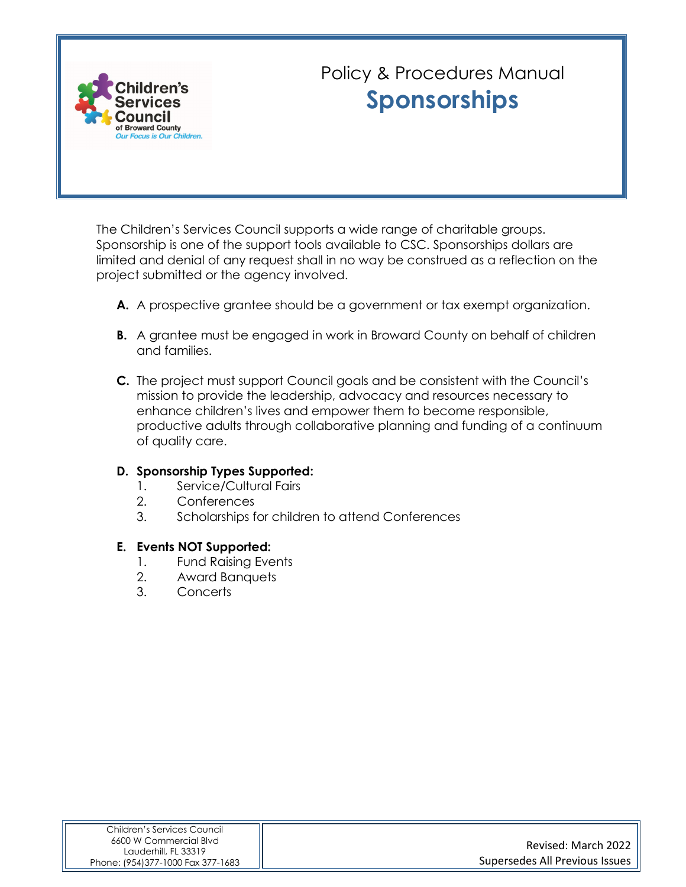

## Policy & Procedures Manual **Sponsorships**

The Children's Services Council supports a wide range of charitable groups. Sponsorship is one of the support tools available to CSC. Sponsorships dollars are limited and denial of any request shall in no way be construed as a reflection on the project submitted or the agency involved.

- **A.** A prospective grantee should be a government or tax exempt organization.
- **B.** A grantee must be engaged in work in Broward County on behalf of children and families.
- **C.** The project must support Council goals and be consistent with the Council's mission to provide the leadership, advocacy and resources necessary to enhance children's lives and empower them to become responsible, productive adults through collaborative planning and funding of a continuum of quality care.

#### **D. Sponsorship Types Supported:**

- 1. Service/Cultural Fairs
- 2. Conferences
- 3. Scholarships for children to attend Conferences

#### **E. Events NOT Supported:**

- 1. Fund Raising Events
- 2. Award Banquets
- 3. Concerts

| Children's Services Council                    |                                |
|------------------------------------------------|--------------------------------|
| 6600 W Commercial Blvd<br>Lauderhill, FL 33319 | Revised: March 2022            |
| Phone: (954)377-1000 Fax 377-1683              | Supersedes All Previous Issues |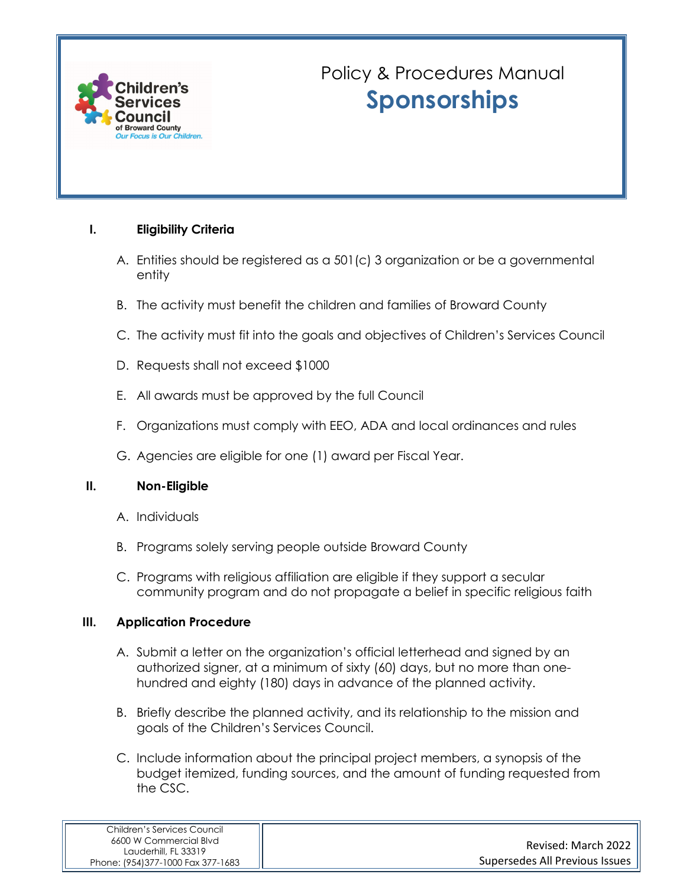

# Policy & Procedures Manual **Sponsorships**

#### **I. Eligibility Criteria**

- A. Entities should be registered as a 501(c) 3 organization or be a governmental entity
- B. The activity must benefit the children and families of Broward County
- C. The activity must fit into the goals and objectives of Children's Services Council
- D. Requests shall not exceed \$1000
- E. All awards must be approved by the full Council
- F. Organizations must comply with EEO, ADA and local ordinances and rules
- G. Agencies are eligible for one (1) award per Fiscal Year.

#### **II. Non-Eligible**

- A. Individuals
- B. Programs solely serving people outside Broward County
- C. Programs with religious affiliation are eligible if they support a secular community program and do not propagate a belief in specific religious faith

#### **III. Application Procedure**

- A. Submit a letter on the organization's official letterhead and signed by an authorized signer, at a minimum of sixty (60) days, but no more than onehundred and eighty (180) days in advance of the planned activity.
- B. Briefly describe the planned activity, and its relationship to the mission and goals of the Children's Services Council.
- C. Include information about the principal project members, a synopsis of the budget itemized, funding sources, and the amount of funding requested from the CSC.

| Children's Services Council                    |                                |
|------------------------------------------------|--------------------------------|
| 6600 W Commercial Blvd<br>Lauderhill, FL 33319 | Revised: March 2022            |
| Phone: (954)377-1000 Fax 377-1683              | Supersedes All Previous Issues |